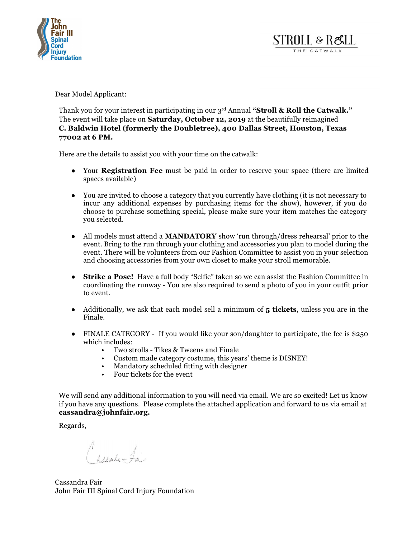



Dear Model Applicant:

Thank you for your interest in participating in our 3rd Annual **"Stroll & Roll the Catwalk."**  The event will take place on **Saturday, October 12, 2019** at the beautifully reimagined **C. Baldwin Hotel (formerly the Doubletree), 400 Dallas Street, Houston, Texas 77002 at 6 PM.**

Here are the details to assist you with your time on the catwalk:

- Your **Registration Fee** must be paid in order to reserve your space (there are limited spaces available)
- You are invited to choose a category that you currently have clothing (it is not necessary to incur any additional expenses by purchasing items for the show), however, if you do choose to purchase something special, please make sure your item matches the category you selected.
- All models must attend a **MANDATORY** show 'run through/dress rehearsal' prior to the event. Bring to the run through your clothing and accessories you plan to model during the event. There will be volunteers from our Fashion Committee to assist you in your selection and choosing accessories from your own closet to make your stroll memorable.
- **Strike a Pose!** Have a full body "Selfie" taken so we can assist the Fashion Committee in coordinating the runway - You are also required to send a photo of you in your outfit prior to event.
- Additionally, we ask that each model sell a minimum of **5 tickets**, unless you are in the Finale.
- FINALE CATEGORY If you would like your son/daughter to participate, the fee is \$250 which includes:
	- Two strolls Tikes & Tweens and Finale
	- Custom made category costume, this years' theme is DISNEY!
	- Mandatory scheduled fitting with designer
	- Four tickets for the event

We will send any additional information to you will need via email. We are so excited! Let us know if you have any questions. Please complete the attached application and forward to us via email at **cassandra@johnfair.org.**

Regards,

Marie 1

Cassandra Fair John Fair III Spinal Cord Injury Foundation